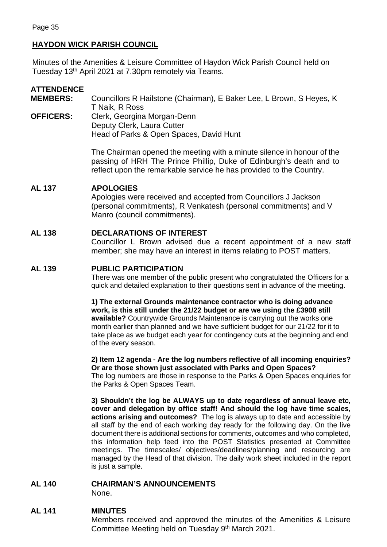# **HAYDON WICK PARISH COUNCIL**

Minutes of the Amenities & Leisure Committee of Haydon Wick Parish Council held on Tuesday 13th April 2021 at 7.30pm remotely via Teams.

## **ATTENDENCE**

**MEMBERS:** Councillors R Hailstone (Chairman), E Baker Lee, L Brown, S Heyes, K T Naik, R Ross **OFFICERS:** Clerk, Georgina Morgan-Denn

Deputy Clerk, Laura Cutter Head of Parks & Open Spaces, David Hunt

> The Chairman opened the meeting with a minute silence in honour of the passing of HRH The Prince Phillip, Duke of Edinburgh's death and to reflect upon the remarkable service he has provided to the Country.

### **AL 137 APOLOGIES**

Apologies were received and accepted from Councillors J Jackson (personal commitments), R Venkatesh (personal commitments) and V Manro (council commitments).

## **AL 138 DECLARATIONS OF INTEREST**

Councillor L Brown advised due a recent appointment of a new staff member; she may have an interest in items relating to POST matters.

## **AL 139 PUBLIC PARTICIPATION**

There was one member of the public present who congratulated the Officers for a quick and detailed explanation to their questions sent in advance of the meeting.

**1) The external Grounds maintenance contractor who is doing advance work, is this still under the 21/22 budget or are we using the £3908 still available?** Countrywide Grounds Maintenance is carrying out the works one month earlier than planned and we have sufficient budget for our 21/22 for it to take place as we budget each year for contingency cuts at the beginning and end of the every season.

# **2) Item 12 agenda - Are the log numbers reflective of all incoming enquiries? Or are those shown just associated with Parks and Open Spaces?**

The log numbers are those in response to the Parks & Open Spaces enquiries for the Parks & Open Spaces Team.

**3) Shouldn't the log be ALWAYS up to date regardless of annual leave etc, cover and delegation by office staff! And should the log have time scales, actions arising and outcomes?** The log is always up to date and accessible by all staff by the end of each working day ready for the following day. On the live document there is additional sections for comments, outcomes and who completed, this information help feed into the POST Statistics presented at Committee meetings. The timescales/ objectives/deadlines/planning and resourcing are managed by the Head of that division. The daily work sheet included in the report is just a sample.

### **AL 140 CHAIRMAN'S ANNOUNCEMENTS**

None.

## **AL 141 MINUTES**

Members received and approved the minutes of the Amenities & Leisure Committee Meeting held on Tuesday 9<sup>th</sup> March 2021.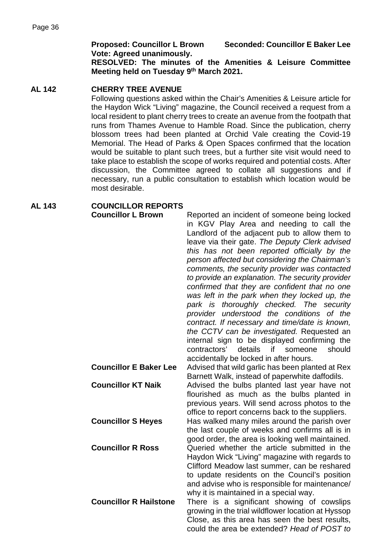**Proposed: Councillor L Brown Seconded: Councillor E Baker Lee Vote: Agreed unanimously.** 

**RESOLVED: The minutes of the Amenities & Leisure Committee Meeting held on Tuesday 9th March 2021.** 

## **AL 142 CHERRY TREE AVENUE**

Following questions asked within the Chair's Amenities & Leisure article for the Haydon Wick "Living" magazine, the Council received a request from a local resident to plant cherry trees to create an avenue from the footpath that runs from Thames Avenue to Hamble Road. Since the publication, cherry blossom trees had been planted at Orchid Vale creating the Covid-19 Memorial. The Head of Parks & Open Spaces confirmed that the location would be suitable to plant such trees, but a further site visit would need to take place to establish the scope of works required and potential costs. After discussion, the Committee agreed to collate all suggestions and if necessary, run a public consultation to establish which location would be most desirable.

## **AL 143 COUNCILLOR REPORTS**

| <b>Councillor L Brown</b>     | Reported an incident of someone being locked<br>in KGV Play Area and needing to call the<br>Landlord of the adjacent pub to allow them to<br>leave via their gate. The Deputy Clerk advised<br>this has not been reported officially by the<br>person affected but considering the Chairman's<br>comments, the security provider was contacted<br>to provide an explanation. The security provider<br>confirmed that they are confident that no one<br>was left in the park when they locked up, the<br>park is thoroughly checked. The security<br>provider understood the conditions of the<br>contract. If necessary and time/date is known, |
|-------------------------------|-------------------------------------------------------------------------------------------------------------------------------------------------------------------------------------------------------------------------------------------------------------------------------------------------------------------------------------------------------------------------------------------------------------------------------------------------------------------------------------------------------------------------------------------------------------------------------------------------------------------------------------------------|
|                               | the CCTV can be investigated. Requested an<br>internal sign to be displayed confirming the<br>contractors'<br>details<br>should<br>if<br>someone                                                                                                                                                                                                                                                                                                                                                                                                                                                                                                |
| <b>Councillor E Baker Lee</b> | accidentally be locked in after hours.<br>Advised that wild garlic has been planted at Rex<br>Barnett Walk, instead of paperwhite daffodils.                                                                                                                                                                                                                                                                                                                                                                                                                                                                                                    |
| <b>Councillor KT Naik</b>     | Advised the bulbs planted last year have not<br>flourished as much as the bulbs planted in<br>previous years. Will send across photos to the<br>office to report concerns back to the suppliers.                                                                                                                                                                                                                                                                                                                                                                                                                                                |
| <b>Councillor S Heyes</b>     | Has walked many miles around the parish over<br>the last couple of weeks and confirms all is in<br>good order, the area is looking well maintained.                                                                                                                                                                                                                                                                                                                                                                                                                                                                                             |
| <b>Councillor R Ross</b>      | Queried whether the article submitted in the<br>Haydon Wick "Living" magazine with regards to<br>Clifford Meadow last summer, can be reshared<br>to update residents on the Council's position<br>and advise who is responsible for maintenance/                                                                                                                                                                                                                                                                                                                                                                                                |
| <b>Councillor R Hailstone</b> | why it is maintained in a special way.<br>There is a significant showing of cowslips<br>growing in the trial wildflower location at Hyssop<br>Close, as this area has seen the best results,<br>could the area be extended? Head of POST to                                                                                                                                                                                                                                                                                                                                                                                                     |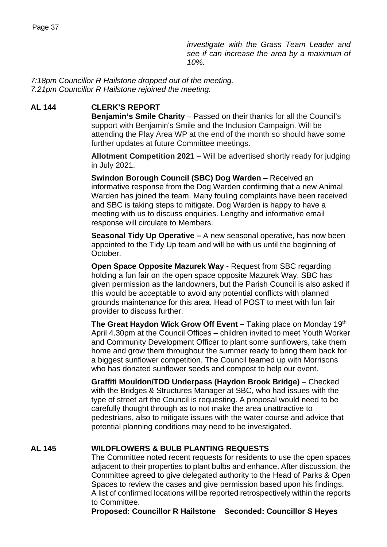*investigate with the Grass Team Leader and see if can increase the area by a maximum of 10%.*

*7:18pm Councillor R Hailstone dropped out of the meeting. 7.21pm Councillor R Hailstone rejoined the meeting.*

### **AL 144 CLERK'S REPORT**

**Benjamin's Smile Charity** – Passed on their thanks for all the Council's support with Benjamin's Smile and the Inclusion Campaign. Will be attending the Play Area WP at the end of the month so should have some further updates at future Committee meetings.

**Allotment Competition 2021** – Will be advertised shortly ready for judging in July 2021.

**Swindon Borough Council (SBC) Dog Warden** – Received an informative response from the Dog Warden confirming that a new Animal Warden has joined the team. Many fouling complaints have been received and SBC is taking steps to mitigate. Dog Warden is happy to have a meeting with us to discuss enquiries. Lengthy and informative email response will circulate to Members.

**Seasonal Tidy Up Operative –** A new seasonal operative, has now been appointed to the Tidy Up team and will be with us until the beginning of October.

**Open Space Opposite Mazurek Way -** Request from SBC regarding holding a fun fair on the open space opposite Mazurek Way. SBC has given permission as the landowners, but the Parish Council is also asked if this would be acceptable to avoid any potential conflicts with planned grounds maintenance for this area. Head of POST to meet with fun fair provider to discuss further.

**The Great Haydon Wick Grow Off Event – Taking place on Monday 19th** April 4.30pm at the Council Offices – children invited to meet Youth Worker and Community Development Officer to plant some sunflowers, take them home and grow them throughout the summer ready to bring them back for a biggest sunflower competition. The Council teamed up with Morrisons who has donated sunflower seeds and compost to help our event.

**Graffiti Mouldon/TDD Underpass (Haydon Brook Bridge)** – Checked with the Bridges & Structures Manager at SBC, who had issues with the type of street art the Council is requesting. A proposal would need to be carefully thought through as to not make the area unattractive to pedestrians, also to mitigate issues with the water course and advice that potential planning conditions may need to be investigated.

### **AL 145 WILDFLOWERS & BULB PLANTING REQUESTS**

The Committee noted recent requests for residents to use the open spaces adjacent to their properties to plant bulbs and enhance. After discussion, the Committee agreed to give delegated authority to the Head of Parks & Open Spaces to review the cases and give permission based upon his findings. A list of confirmed locations will be reported retrospectively within the reports to Committee.

**Proposed: Councillor R Hailstone Seconded: Councillor S Heyes**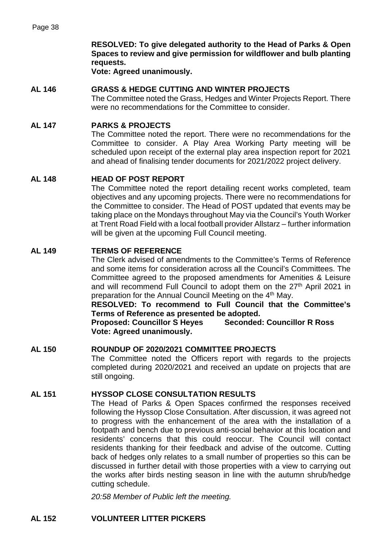**RESOLVED: To give delegated authority to the Head of Parks & Open Spaces to review and give permission for wildflower and bulb planting requests.**

**Vote: Agreed unanimously.**

### **AL 146 GRASS & HEDGE CUTTING AND WINTER PROJECTS**

The Committee noted the Grass, Hedges and Winter Projects Report. There were no recommendations for the Committee to consider.

### **AL 147 PARKS & PROJECTS**

The Committee noted the report. There were no recommendations for the Committee to consider. A Play Area Working Party meeting will be scheduled upon receipt of the external play area inspection report for 2021 and ahead of finalising tender documents for 2021/2022 project delivery.

#### **AL 148 HEAD OF POST REPORT**

The Committee noted the report detailing recent works completed, team objectives and any upcoming projects. There were no recommendations for the Committee to consider. The Head of POST updated that events may be taking place on the Mondays throughout May via the Council's Youth Worker at Trent Road Field with a local football provider Allstarz – further information will be given at the upcoming Full Council meeting.

#### **AL 149 TERMS OF REFERENCE**

The Clerk advised of amendments to the Committee's Terms of Reference and some items for consideration across all the Council's Committees. The Committee agreed to the proposed amendments for Amenities & Leisure and will recommend Full Council to adopt them on the 27<sup>th</sup> April 2021 in preparation for the Annual Council Meeting on the 4<sup>th</sup> May.

**RESOLVED: To recommend to Full Council that the Committee's Terms of Reference as presented be adopted.** 

**Proposed: Councillor S Heyes Seconded: Councillor R Ross Vote: Agreed unanimously.**

#### **AL 150 ROUNDUP OF 2020/2021 COMMITTEE PROJECTS**

The Committee noted the Officers report with regards to the projects completed during 2020/2021 and received an update on projects that are still ongoing.

#### **AL 151 HYSSOP CLOSE CONSULTATION RESULTS**

The Head of Parks & Open Spaces confirmed the responses received following the Hyssop Close Consultation. After discussion, it was agreed not to progress with the enhancement of the area with the installation of a footpath and bench due to previous anti-social behavior at this location and residents' concerns that this could reoccur. The Council will contact residents thanking for their feedback and advise of the outcome. Cutting back of hedges only relates to a small number of properties so this can be discussed in further detail with those properties with a view to carrying out the works after birds nesting season in line with the autumn shrub/hedge cutting schedule.

*20:58 Member of Public left the meeting.*

### **AL 152 VOLUNTEER LITTER PICKERS**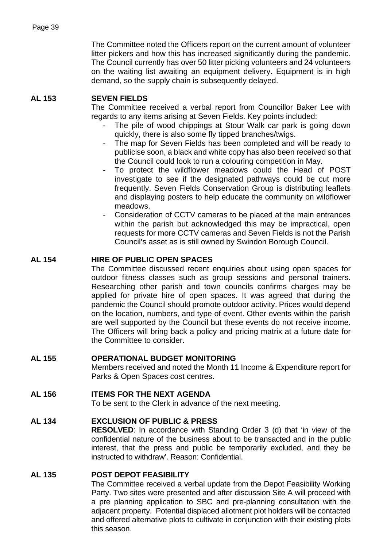The Committee noted the Officers report on the current amount of volunteer litter pickers and how this has increased significantly during the pandemic. The Council currently has over 50 litter picking volunteers and 24 volunteers on the waiting list awaiting an equipment delivery. Equipment is in high demand, so the supply chain is subsequently delayed.

## **AL 153 SEVEN FIELDS**

The Committee received a verbal report from Councillor Baker Lee with regards to any items arising at Seven Fields. Key points included:

- The pile of wood chippings at Stour Walk car park is going down quickly, there is also some fly tipped branches/twigs.
- The map for Seven Fields has been completed and will be ready to publicise soon, a black and white copy has also been received so that the Council could look to run a colouring competition in May.
- To protect the wildflower meadows could the Head of POST investigate to see if the designated pathways could be cut more frequently. Seven Fields Conservation Group is distributing leaflets and displaying posters to help educate the community on wildflower meadows.
- Consideration of CCTV cameras to be placed at the main entrances within the parish but acknowledged this may be impractical, open requests for more CCTV cameras and Seven Fields is not the Parish Council's asset as is still owned by Swindon Borough Council.

## **AL 154 HIRE OF PUBLIC OPEN SPACES**

The Committee discussed recent enquiries about using open spaces for outdoor fitness classes such as group sessions and personal trainers. Researching other parish and town councils confirms charges may be applied for private hire of open spaces. It was agreed that during the pandemic the Council should promote outdoor activity. Prices would depend on the location, numbers, and type of event. Other events within the parish are well supported by the Council but these events do not receive income. The Officers will bring back a policy and pricing matrix at a future date for the Committee to consider.

## **AL 155 OPERATIONAL BUDGET MONITORING**

Members received and noted the Month 11 Income & Expenditure report for Parks & Open Spaces cost centres.

## **AL 156 ITEMS FOR THE NEXT AGENDA**

To be sent to the Clerk in advance of the next meeting.

## **AL 134 EXCLUSION OF PUBLIC & PRESS**

**RESOLVED**: In accordance with Standing Order 3 (d) that 'in view of the confidential nature of the business about to be transacted and in the public interest, that the press and public be temporarily excluded, and they be instructed to withdraw'. Reason: Confidential.

### **AL 135 POST DEPOT FEASIBILITY**

The Committee received a verbal update from the Depot Feasibility Working Party. Two sites were presented and after discussion Site A will proceed with a pre planning application to SBC and pre-planning consultation with the adjacent property. Potential displaced allotment plot holders will be contacted and offered alternative plots to cultivate in conjunction with their existing plots this season.